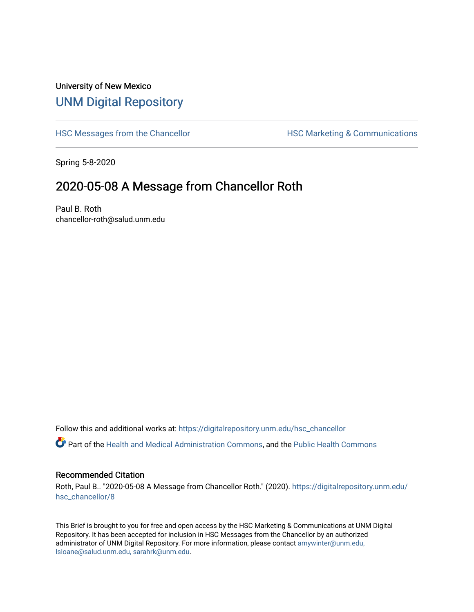## University of New Mexico [UNM Digital Repository](https://digitalrepository.unm.edu/)

[HSC Messages from the Chancellor](https://digitalrepository.unm.edu/hsc_chancellor) **HSC Marketing & Communications** 

Spring 5-8-2020

## 2020-05-08 A Message from Chancellor Roth

Paul B. Roth chancellor-roth@salud.unm.edu

Follow this and additional works at: [https://digitalrepository.unm.edu/hsc\\_chancellor](https://digitalrepository.unm.edu/hsc_chancellor?utm_source=digitalrepository.unm.edu%2Fhsc_chancellor%2F8&utm_medium=PDF&utm_campaign=PDFCoverPages) 

Part of the [Health and Medical Administration Commons](http://network.bepress.com/hgg/discipline/663?utm_source=digitalrepository.unm.edu%2Fhsc_chancellor%2F8&utm_medium=PDF&utm_campaign=PDFCoverPages), and the [Public Health Commons](http://network.bepress.com/hgg/discipline/738?utm_source=digitalrepository.unm.edu%2Fhsc_chancellor%2F8&utm_medium=PDF&utm_campaign=PDFCoverPages) 

## Recommended Citation

Roth, Paul B.. "2020-05-08 A Message from Chancellor Roth." (2020). [https://digitalrepository.unm.edu/](https://digitalrepository.unm.edu/hsc_chancellor/8?utm_source=digitalrepository.unm.edu%2Fhsc_chancellor%2F8&utm_medium=PDF&utm_campaign=PDFCoverPages) [hsc\\_chancellor/8](https://digitalrepository.unm.edu/hsc_chancellor/8?utm_source=digitalrepository.unm.edu%2Fhsc_chancellor%2F8&utm_medium=PDF&utm_campaign=PDFCoverPages)

This Brief is brought to you for free and open access by the HSC Marketing & Communications at UNM Digital Repository. It has been accepted for inclusion in HSC Messages from the Chancellor by an authorized administrator of UNM Digital Repository. For more information, please contact [amywinter@unm.edu,](mailto:amywinter@unm.edu,%20lsloane@salud.unm.edu,%20sarahrk@unm.edu) [lsloane@salud.unm.edu, sarahrk@unm.edu.](mailto:amywinter@unm.edu,%20lsloane@salud.unm.edu,%20sarahrk@unm.edu)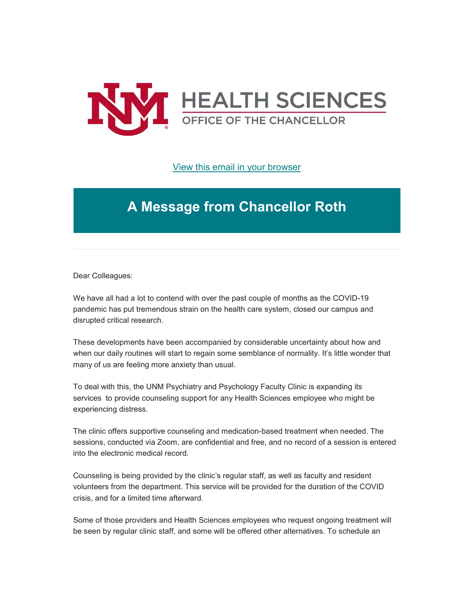

[View this email in your browser](https://mailchi.mp/d9398c6f3231/message-from-the-chancellor-coronavirus-4410188?e=b4bbfca2c0)

## **A Message from Chancellor Roth**

Dear Colleagues:

We have all had a lot to contend with over the past couple of months as the COVID-19 pandemic has put tremendous strain on the health care system, closed our campus and disrupted critical research.

These developments have been accompanied by considerable uncertainty about how and when our daily routines will start to regain some semblance of normality. It's little wonder that many of us are feeling more anxiety than usual.

To deal with this, the UNM Psychiatry and Psychology Faculty Clinic is expanding its services to provide counseling support for any Health Sciences employee who might be experiencing distress.

The clinic offers supportive counseling and medication-based treatment when needed. The sessions, conducted via Zoom, are confidential and free, and no record of a session is entered into the electronic medical record.

Counseling is being provided by the clinic's regular staff, as well as faculty and resident volunteers from the department. This service will be provided for the duration of the COVID crisis, and for a limited time afterward.

Some of those providers and Health Sciences employees who request ongoing treatment will be seen by regular clinic staff, and some will be offered other alternatives. To schedule an